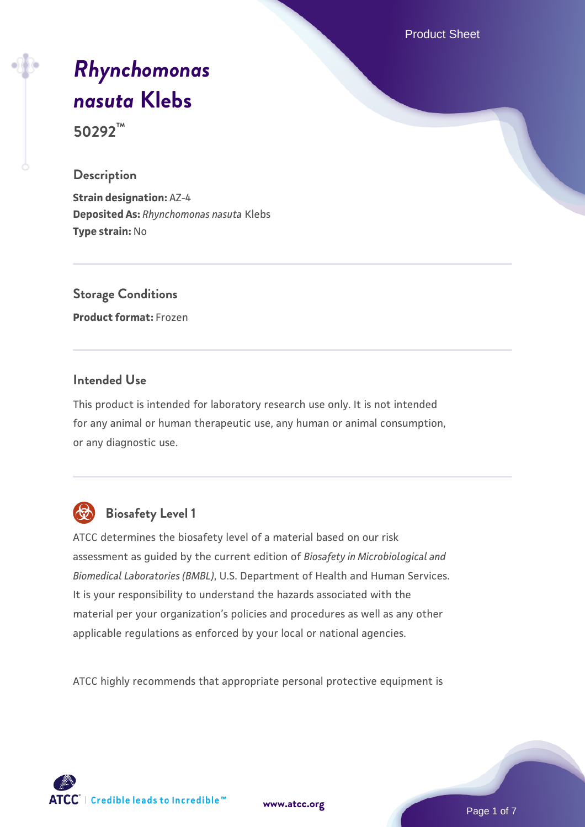Product Sheet

# *[Rhynchomonas](https://www.atcc.org/products/50292) [nasuta](https://www.atcc.org/products/50292)* **[Klebs](https://www.atcc.org/products/50292)**

**50292™**

#### **Description**

**Strain designation:** AZ-4 **Deposited As:** *Rhynchomonas nasuta* Klebs **Type strain:** No

**Storage Conditions Product format:** Frozen

#### **Intended Use**

This product is intended for laboratory research use only. It is not intended for any animal or human therapeutic use, any human or animal consumption, or any diagnostic use.



# **Biosafety Level 1**

ATCC determines the biosafety level of a material based on our risk assessment as guided by the current edition of *Biosafety in Microbiological and Biomedical Laboratories (BMBL)*, U.S. Department of Health and Human Services. It is your responsibility to understand the hazards associated with the material per your organization's policies and procedures as well as any other applicable regulations as enforced by your local or national agencies.

ATCC highly recommends that appropriate personal protective equipment is



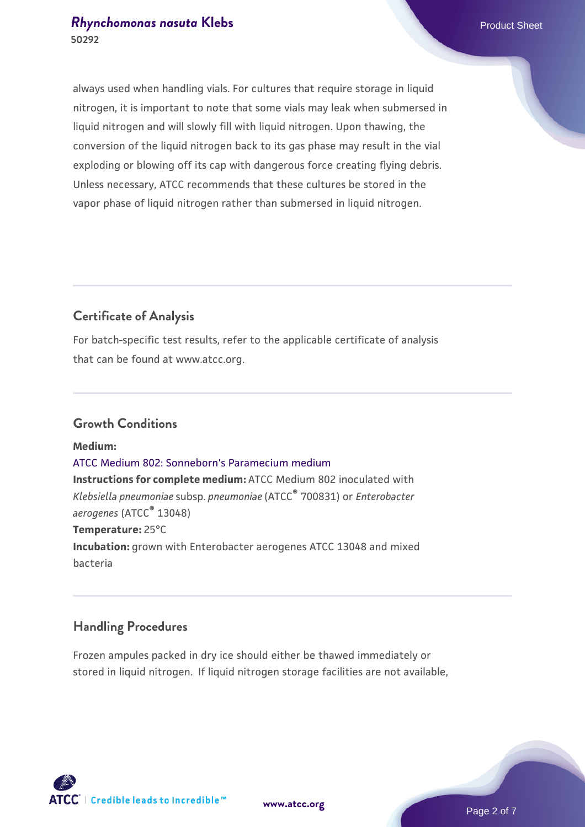#### *[Rhynchomonas nasuta](https://www.atcc.org/products/50292)* [Klebs](https://www.atcc.org/products/50292) **Product Sheet** Product Sheet **50292**

always used when handling vials. For cultures that require storage in liquid nitrogen, it is important to note that some vials may leak when submersed in liquid nitrogen and will slowly fill with liquid nitrogen. Upon thawing, the conversion of the liquid nitrogen back to its gas phase may result in the vial exploding or blowing off its cap with dangerous force creating flying debris. Unless necessary, ATCC recommends that these cultures be stored in the vapor phase of liquid nitrogen rather than submersed in liquid nitrogen.

#### **Certificate of Analysis**

For batch-specific test results, refer to the applicable certificate of analysis that can be found at www.atcc.org.

#### **Growth Conditions**

**Medium:**  [ATCC Medium 802: Sonneborn's Paramecium medium](https://www.atcc.org/-/media/product-assets/documents/microbial-media-formulations/8/0/2/atcc-medium-802.pdf?rev=73d25dbdd49b44529c8ac49753787d74) **Instructions for complete medium:** ATCC Medium 802 inoculated with *Klebsiella pneumoniae* subsp. *pneumoniae* (ATCC® 700831) or *Enterobacter aerogenes* (ATCC® 13048) **Temperature:** 25°C **Incubation:** grown with Enterobacter aerogenes ATCC 13048 and mixed bacteria

#### **Handling Procedures**

Frozen ampules packed in dry ice should either be thawed immediately or stored in liquid nitrogen. If liquid nitrogen storage facilities are not available,



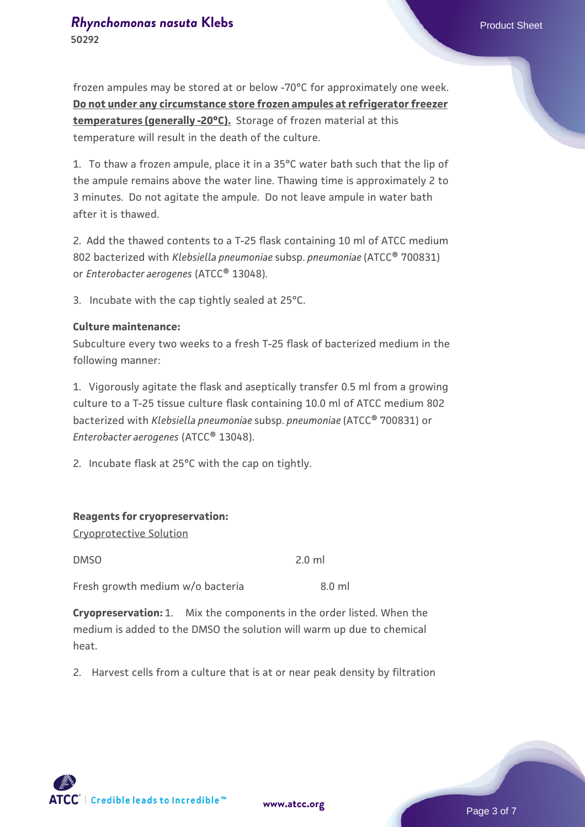frozen ampules may be stored at or below -70°C for approximately one week. **Do not under any circumstance store frozen ampules at refrigerator freezer temperatures (generally -20°C).** Storage of frozen material at this temperature will result in the death of the culture.

1. To thaw a frozen ampule, place it in a 35°C water bath such that the lip of the ampule remains above the water line. Thawing time is approximately 2 to 3 minutes. Do not agitate the ampule. Do not leave ampule in water bath after it is thawed.

2. Add the thawed contents to a T-25 flask containing 10 ml of ATCC medium 802 bacterized with *Klebsiella pneumoniae* subsp. *pneumoniae* (ATCC® 700831) or *Enterobacter aerogenes* (ATCC® 13048).

3. Incubate with the cap tightly sealed at 25°C.

#### **Culture maintenance:**

Subculture every two weeks to a fresh T-25 flask of bacterized medium in the following manner:

1. Vigorously agitate the flask and aseptically transfer 0.5 ml from a growing culture to a T-25 tissue culture flask containing 10.0 ml of ATCC medium 802 bacterized with *Klebsiella pneumoniae* subsp. *pneumoniae* (ATCC® 700831) or *Enterobacter aerogenes* (ATCC® 13048).

2. Incubate flask at 25°C with the cap on tightly.

#### **Reagents for cryopreservation:**

Cryoprotective Solution

DMSO 2.0 ml

Fresh growth medium w/o bacteria 3.0 ml

**Cryopreservation:** 1. Mix the components in the order listed. When the medium is added to the DMSO the solution will warm up due to chemical heat.

2. Harvest cells from a culture that is at or near peak density by filtration



**[www.atcc.org](http://www.atcc.org)**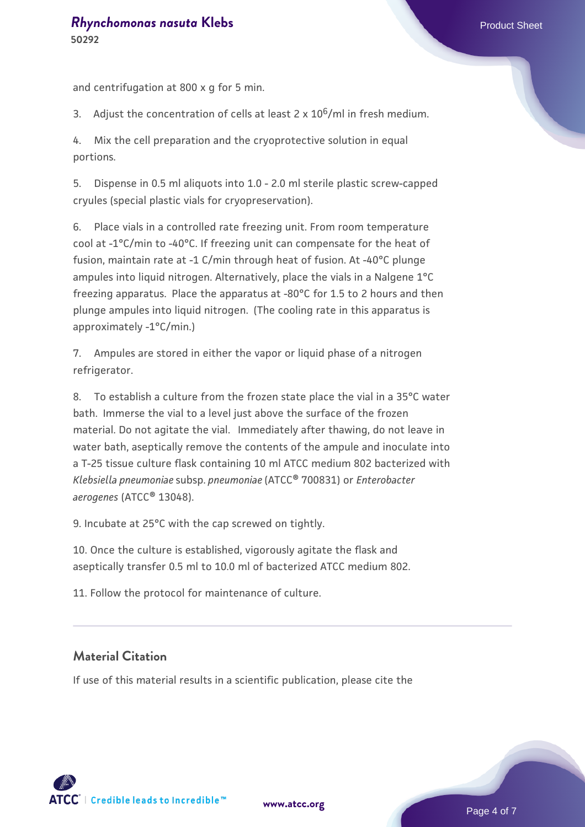and centrifugation at 800 x g for 5 min.

3. Adjust the concentration of cells at least 2 x  $10^6$ /ml in fresh medium.

4. Mix the cell preparation and the cryoprotective solution in equal portions.

5. Dispense in 0.5 ml aliquots into 1.0 - 2.0 ml sterile plastic screw-capped cryules (special plastic vials for cryopreservation).

6. Place vials in a controlled rate freezing unit. From room temperature cool at -1°C/min to -40°C. If freezing unit can compensate for the heat of fusion, maintain rate at -1 C/min through heat of fusion. At -40°C plunge ampules into liquid nitrogen. Alternatively, place the vials in a Nalgene 1°C freezing apparatus. Place the apparatus at -80°C for 1.5 to 2 hours and then plunge ampules into liquid nitrogen. (The cooling rate in this apparatus is approximately -1°C/min.)

7. Ampules are stored in either the vapor or liquid phase of a nitrogen refrigerator.

8. To establish a culture from the frozen state place the vial in a 35°C water bath. Immerse the vial to a level just above the surface of the frozen material. Do not agitate the vial. Immediately after thawing, do not leave in water bath, aseptically remove the contents of the ampule and inoculate into a T-25 tissue culture flask containing 10 ml ATCC medium 802 bacterized with *Klebsiella pneumoniae* subsp. *pneumoniae* (ATCC® 700831) or *Enterobacter aerogenes* (ATCC® 13048).

9. Incubate at 25°C with the cap screwed on tightly.

10. Once the culture is established, vigorously agitate the flask and aseptically transfer 0.5 ml to 10.0 ml of bacterized ATCC medium 802.

11. Follow the protocol for maintenance of culture.

#### **Material Citation**

If use of this material results in a scientific publication, please cite the

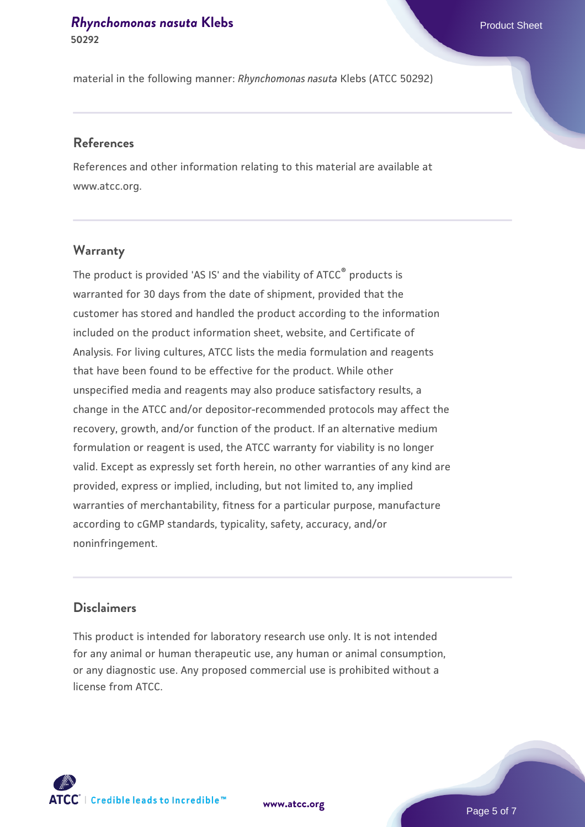#### *[Rhynchomonas nasuta](https://www.atcc.org/products/50292)* [Klebs](https://www.atcc.org/products/50292) **Product Sheet** Product Sheet **50292**

material in the following manner: *Rhynchomonas nasuta* Klebs (ATCC 50292)

#### **References**

References and other information relating to this material are available at www.atcc.org.

#### **Warranty**

The product is provided 'AS IS' and the viability of ATCC® products is warranted for 30 days from the date of shipment, provided that the customer has stored and handled the product according to the information included on the product information sheet, website, and Certificate of Analysis. For living cultures, ATCC lists the media formulation and reagents that have been found to be effective for the product. While other unspecified media and reagents may also produce satisfactory results, a change in the ATCC and/or depositor-recommended protocols may affect the recovery, growth, and/or function of the product. If an alternative medium formulation or reagent is used, the ATCC warranty for viability is no longer valid. Except as expressly set forth herein, no other warranties of any kind are provided, express or implied, including, but not limited to, any implied warranties of merchantability, fitness for a particular purpose, manufacture according to cGMP standards, typicality, safety, accuracy, and/or noninfringement.

### **Disclaimers**

This product is intended for laboratory research use only. It is not intended for any animal or human therapeutic use, any human or animal consumption, or any diagnostic use. Any proposed commercial use is prohibited without a license from ATCC.



**[www.atcc.org](http://www.atcc.org)**

Page 5 of 7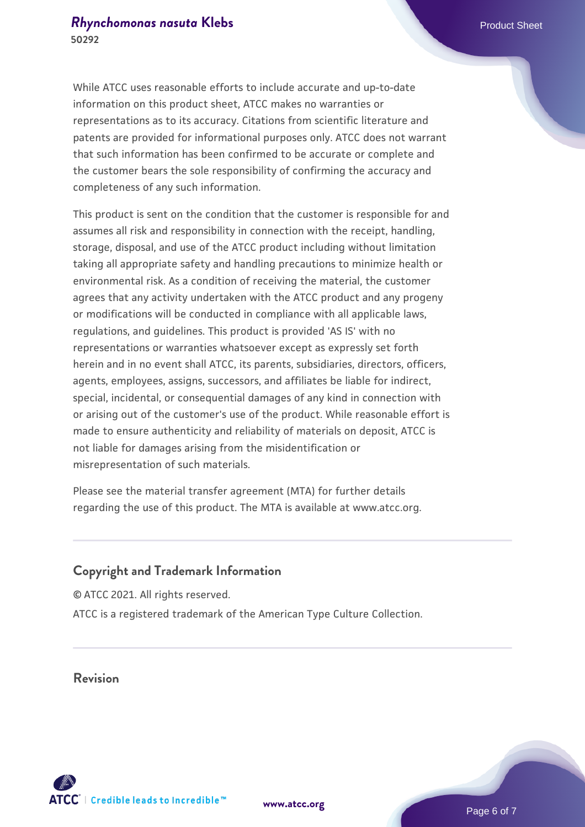While ATCC uses reasonable efforts to include accurate and up-to-date information on this product sheet, ATCC makes no warranties or representations as to its accuracy. Citations from scientific literature and patents are provided for informational purposes only. ATCC does not warrant that such information has been confirmed to be accurate or complete and the customer bears the sole responsibility of confirming the accuracy and completeness of any such information.

This product is sent on the condition that the customer is responsible for and assumes all risk and responsibility in connection with the receipt, handling, storage, disposal, and use of the ATCC product including without limitation taking all appropriate safety and handling precautions to minimize health or environmental risk. As a condition of receiving the material, the customer agrees that any activity undertaken with the ATCC product and any progeny or modifications will be conducted in compliance with all applicable laws, regulations, and guidelines. This product is provided 'AS IS' with no representations or warranties whatsoever except as expressly set forth herein and in no event shall ATCC, its parents, subsidiaries, directors, officers, agents, employees, assigns, successors, and affiliates be liable for indirect, special, incidental, or consequential damages of any kind in connection with or arising out of the customer's use of the product. While reasonable effort is made to ensure authenticity and reliability of materials on deposit, ATCC is not liable for damages arising from the misidentification or misrepresentation of such materials.

Please see the material transfer agreement (MTA) for further details regarding the use of this product. The MTA is available at www.atcc.org.

#### **Copyright and Trademark Information**

© ATCC 2021. All rights reserved. ATCC is a registered trademark of the American Type Culture Collection.

### **Revision**